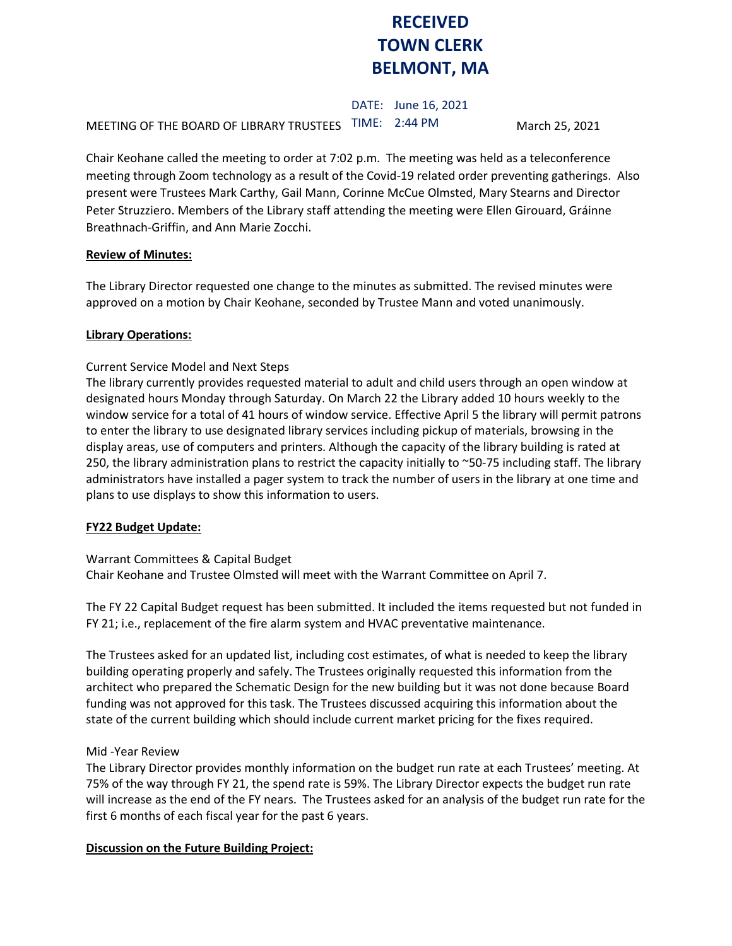# **RECEIVED TOWN CLERK BELMONT, MA**

DATE: June 16, 2021 MEETING OF THE BOARD OF LIBRARY TRUSTEES TIME: 2:44 PM March 25, 2021

Chair Keohane called the meeting to order at 7:02 p.m. The meeting was held as a teleconference meeting through Zoom technology as a result of the Covid-19 related order preventing gatherings. Also present were Trustees Mark Carthy, Gail Mann, Corinne McCue Olmsted, Mary Stearns and Director Peter Struzziero. Members of the Library staff attending the meeting were Ellen Girouard, Gráinne Breathnach-Griffin, and Ann Marie Zocchi.

## **Review of Minutes:**

The Library Director requested one change to the minutes as submitted. The revised minutes were approved on a motion by Chair Keohane, seconded by Trustee Mann and voted unanimously.

## **Library Operations:**

# Current Service Model and Next Steps

The library currently provides requested material to adult and child users through an open window at designated hours Monday through Saturday. On March 22 the Library added 10 hours weekly to the window service for a total of 41 hours of window service. Effective April 5 the library will permit patrons to enter the library to use designated library services including pickup of materials, browsing in the display areas, use of computers and printers. Although the capacity of the library building is rated at 250, the library administration plans to restrict the capacity initially to  $\sim$ 50-75 including staff. The library administrators have installed a pager system to track the number of users in the library at one time and plans to use displays to show this information to users.

# **FY22 Budget Update:**

## Warrant Committees & Capital Budget

Chair Keohane and Trustee Olmsted will meet with the Warrant Committee on April 7.

The FY 22 Capital Budget request has been submitted. It included the items requested but not funded in FY 21; i.e., replacement of the fire alarm system and HVAC preventative maintenance.

The Trustees asked for an updated list, including cost estimates, of what is needed to keep the library building operating properly and safely. The Trustees originally requested this information from the architect who prepared the Schematic Design for the new building but it was not done because Board funding was not approved for this task. The Trustees discussed acquiring this information about the state of the current building which should include current market pricing for the fixes required.

# Mid -Year Review

The Library Director provides monthly information on the budget run rate at each Trustees' meeting. At 75% of the way through FY 21, the spend rate is 59%. The Library Director expects the budget run rate will increase as the end of the FY nears. The Trustees asked for an analysis of the budget run rate for the first 6 months of each fiscal year for the past 6 years.

## **Discussion on the Future Building Project:**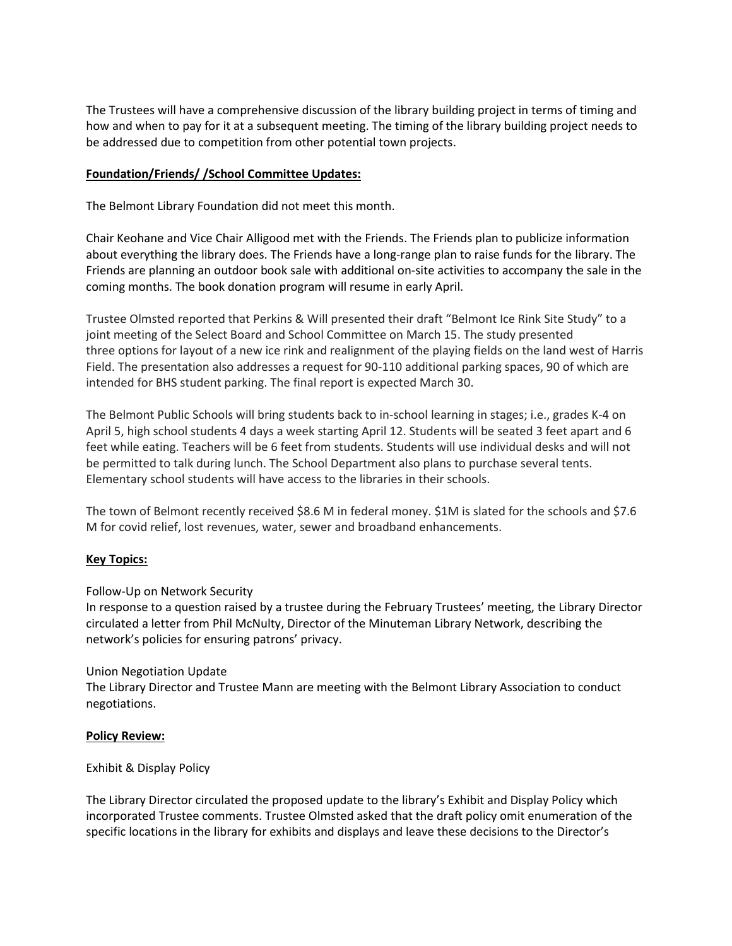The Trustees will have a comprehensive discussion of the library building project in terms of timing and how and when to pay for it at a subsequent meeting. The timing of the library building project needs to be addressed due to competition from other potential town projects.

## **Foundation/Friends/ /School Committee Updates:**

The Belmont Library Foundation did not meet this month.

Chair Keohane and Vice Chair Alligood met with the Friends. The Friends plan to publicize information about everything the library does. The Friends have a long-range plan to raise funds for the library. The Friends are planning an outdoor book sale with additional on-site activities to accompany the sale in the coming months. The book donation program will resume in early April.

Trustee Olmsted reported that Perkins & Will presented their draft "Belmont Ice Rink Site Study" to a joint meeting of the Select Board and School Committee on March 15. The study presented three options for layout of a new ice rink and realignment of the playing fields on the land west of Harris Field. The presentation also addresses a request for 90-110 additional parking spaces, 90 of which are intended for BHS student parking. The final report is expected March 30.

The Belmont Public Schools will bring students back to in-school learning in stages; i.e., grades K-4 on April 5, high school students 4 days a week starting April 12. Students will be seated 3 feet apart and 6 feet while eating. Teachers will be 6 feet from students. Students will use individual desks and will not be permitted to talk during lunch. The School Department also plans to purchase several tents. Elementary school students will have access to the libraries in their schools.

The town of Belmont recently received \$8.6 M in federal money. \$1M is slated for the schools and \$7.6 M for covid relief, lost revenues, water, sewer and broadband enhancements.

# **Key Topics:**

Follow-Up on Network Security

In response to a question raised by a trustee during the February Trustees' meeting, the Library Director circulated a letter from Phil McNulty, Director of the Minuteman Library Network, describing the network's policies for ensuring patrons' privacy.

## Union Negotiation Update

The Library Director and Trustee Mann are meeting with the Belmont Library Association to conduct negotiations.

## **Policy Review:**

## Exhibit & Display Policy

The Library Director circulated the proposed update to the library's Exhibit and Display Policy which incorporated Trustee comments. Trustee Olmsted asked that the draft policy omit enumeration of the specific locations in the library for exhibits and displays and leave these decisions to the Director's